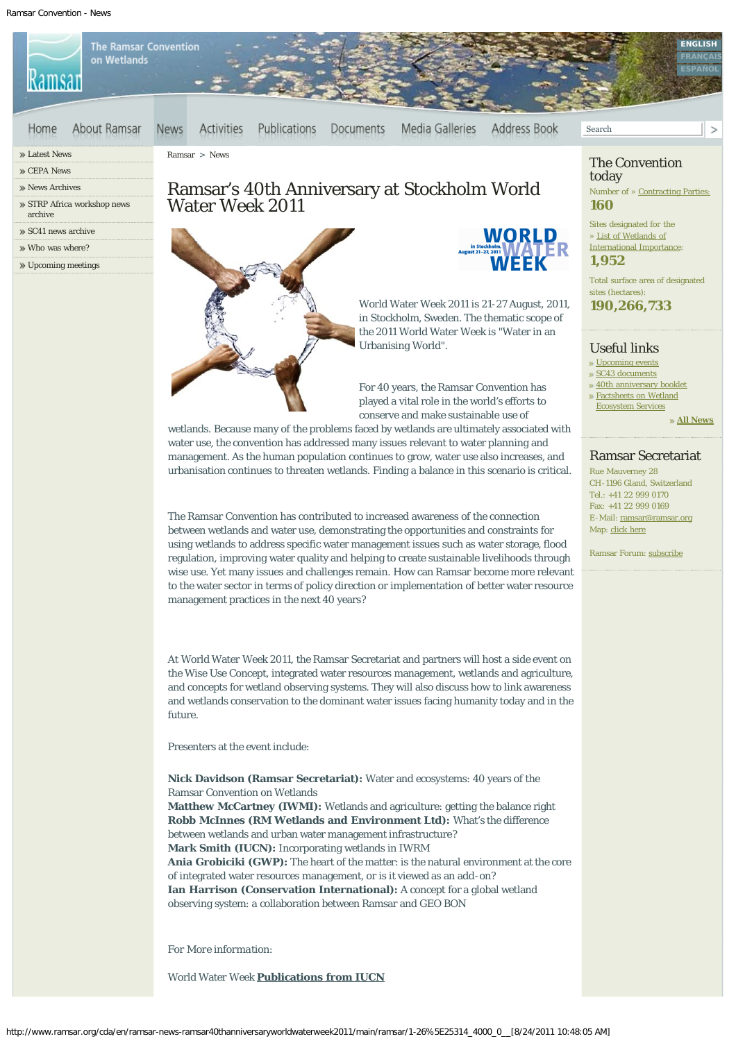

At World Water Week 2011, the Ramsar Secretariat and partners will host a side event on the Wise Use Concept, integrated water resources management, wetlands and agriculture, and concepts for wetland observing systems. They will also discuss how to link awareness and wetlands conservation to the dominant water issues facing humanity today and in the future.

wise use. Yet many issues and challenges remain. How can Ramsar become more relevant to the water sector in terms of policy direction or implementation of better water resource

Presenters at the event include:

management practices in the next 40 years?

**Nick Davidson (Ramsar Secretariat):** Water and ecosystems: 40 years of the Ramsar Convention on Wetlands **Matthew McCartney (IWMI):** Wetlands and agriculture: getting the balance right **Robb McInnes (RM Wetlands and Environment Ltd):** What's the difference between wetlands and urban water management infrastructure? **Mark Smith (IUCN):** Incorporating wetlands in IWRM Ania Grobiciki (GWP): The heart of the matter: is the natural environment at the core of integrated water resources management, or is it viewed as an add-on? **Ian Harrison (Conservation International):** A concept for a global wetland observing system: a collaboration between Ramsar and GEO BON

*For More information:*

World Water Week **[Publications from IUCN](http://www.iucn.org/about/work/programmes/water/)**